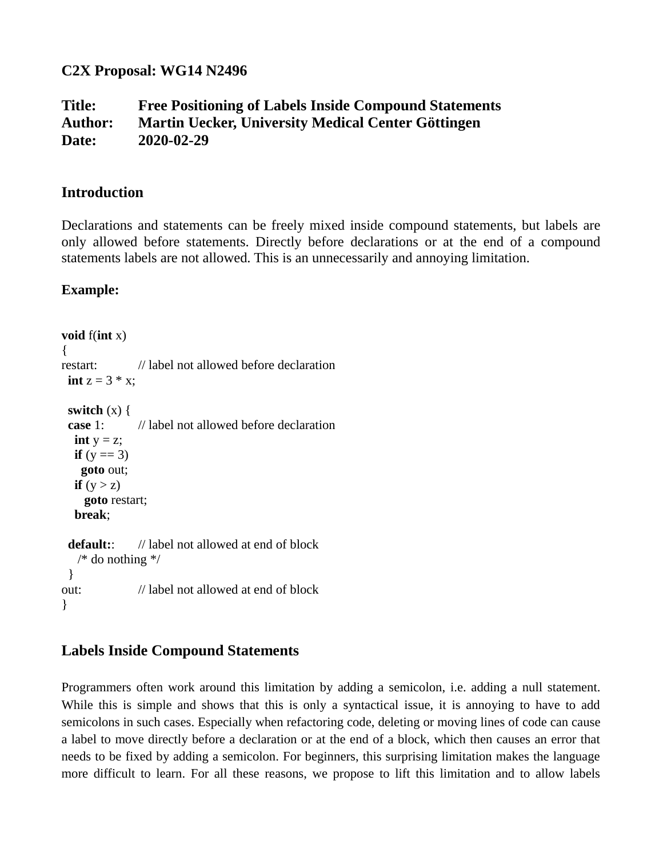**C2X Proposal: WG14 N2496**

**Title: Free Positioning of Labels Inside Compound Statements Author: Martin Uecker, University Medical Center Göttingen Date: 2020-02-29**

#### **Introduction**

Declarations and statements can be freely mixed inside compound statements, but labels are only allowed before statements. Directly before declarations or at the end of a compound statements labels are not allowed. This is an unnecessarily and annoying limitation.

#### **Example:**

```
void f(int x)
{
restart: // label not allowed before declaration
 int z = 3 * x;
  switch (x) {
  case 1: // label not allowed before declaration
  int y = z;
  if (y == 3)
    goto out;
  if (y > z) goto restart;
   break;
  default:: // label not allowed at end of block
    /* do nothing */
  }
out: // label not allowed at end of block
}
```
# **Labels Inside Compound Statements**

Programmers often work around this limitation by adding a semicolon, i.e. adding a null statement. While this is simple and shows that this is only a syntactical issue, it is annoying to have to add semicolons in such cases. Especially when refactoring code, deleting or moving lines of code can cause a label to move directly before a declaration or at the end of a block, which then causes an error that needs to be fixed by adding a semicolon. For beginners, this surprising limitation makes the language more difficult to learn. For all these reasons, we propose to lift this limitation and to allow labels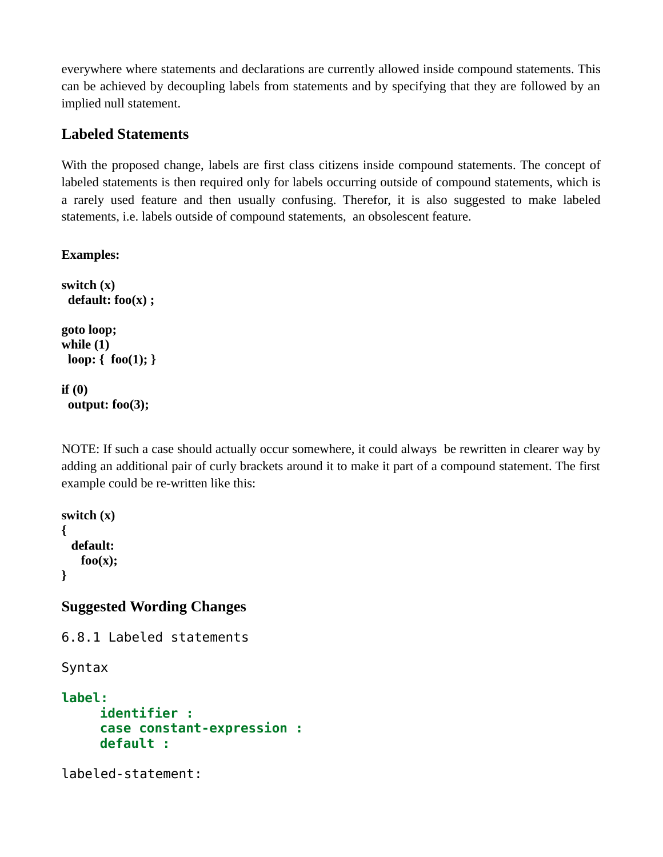everywhere where statements and declarations are currently allowed inside compound statements. This can be achieved by decoupling labels from statements and by specifying that they are followed by an implied null statement.

### **Labeled Statements**

With the proposed change, labels are first class citizens inside compound statements. The concept of labeled statements is then required only for labels occurring outside of compound statements, which is a rarely used feature and then usually confusing. Therefor, it is also suggested to make labeled statements, i.e. labels outside of compound statements, an obsolescent feature.

```
Examples:
```

```
switch (x)
  default: foo(x) ;
goto loop;
while (1)
  loop: { foo(1); }
if (0)
  output: foo(3);
```
NOTE: If such a case should actually occur somewhere, it could always be rewritten in clearer way by adding an additional pair of curly brackets around it to make it part of a compound statement. The first example could be re-written like this:

```
switch (x)
{
   default: 
     foo(x);
}
```
# **Suggested Wording Changes**

6.8.1 Labeled statements

Syntax

```
label:
     identifier :
     case constant-expression :
     default :
```
labeled-statement: